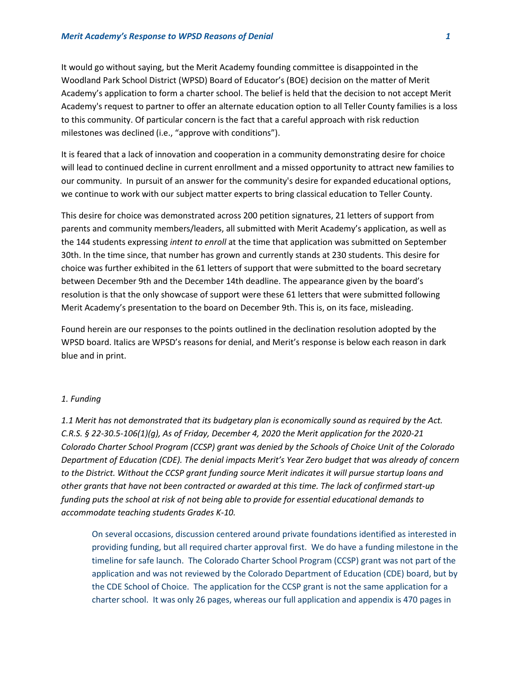# *Merit Academy's Response to WPSD Reasons of Denial 1*

It would go without saying, but the Merit Academy founding committee is disappointed in the Woodland Park School District (WPSD) Board of Educator's (BOE) decision on the matter of Merit Academy's application to form a charter school. The belief is held that the decision to not accept Merit Academy's request to partner to offer an alternate education option to all Teller County families is a loss to this community. Of particular concern is the fact that a careful approach with risk reduction milestones was declined (i.e., "approve with conditions").

It is feared that a lack of innovation and cooperation in a community demonstrating desire for choice will lead to continued decline in current enrollment and a missed opportunity to attract new families to our community. In pursuit of an answer for the community's desire for expanded educational options, we continue to work with our subject matter experts to bring classical education to Teller County.

This desire for choice was demonstrated across 200 petition signatures, 21 letters of support from parents and community members/leaders, all submitted with Merit Academy's application, as well as the 144 students expressing *intent to enroll* at the time that application was submitted on September 30th. In the time since, that number has grown and currently stands at 230 students. This desire for choice was further exhibited in the 61 letters of support that were submitted to the board secretary between December 9th and the December 14th deadline. The appearance given by the board's resolution is that the only showcase of support were these 61 letters that were submitted following Merit Academy's presentation to the board on December 9th. This is, on its face, misleading.

Found herein are our responses to the points outlined in the declination resolution adopted by the WPSD board. Italics are WPSD's reasons for denial, and Merit's response is below each reason in dark blue and in print.

#### *1. Funding*

*1.1 Merit has not demonstrated that its budgetary plan is economically sound as required by the Act. C.R.S. § 22-30.5-106(1)(g), As of Friday, December 4, 2020 the Merit application for the 2020-21 Colorado Charter School Program (CCSP) grant was denied by the Schools of Choice Unit of the Colorado Department of Education (CDE). The denial impacts Merit's Year Zero budget that was already of concern to the District. Without the CCSP grant funding source Merit indicates it will pursue startup loans and other grants that have not been contracted or awarded at this time. The lack of confirmed start-up funding puts the school at risk of not being able to provide for essential educational demands to accommodate teaching students Grades K-10.*

On several occasions, discussion centered around private foundations identified as interested in providing funding, but all required charter approval first. We do have a funding milestone in the timeline for safe launch. The Colorado Charter School Program (CCSP) grant was not part of the application and was not reviewed by the Colorado Department of Education (CDE) board, but by the CDE School of Choice. The application for the CCSP grant is not the same application for a charter school. It was only 26 pages, whereas our full application and appendix is 470 pages in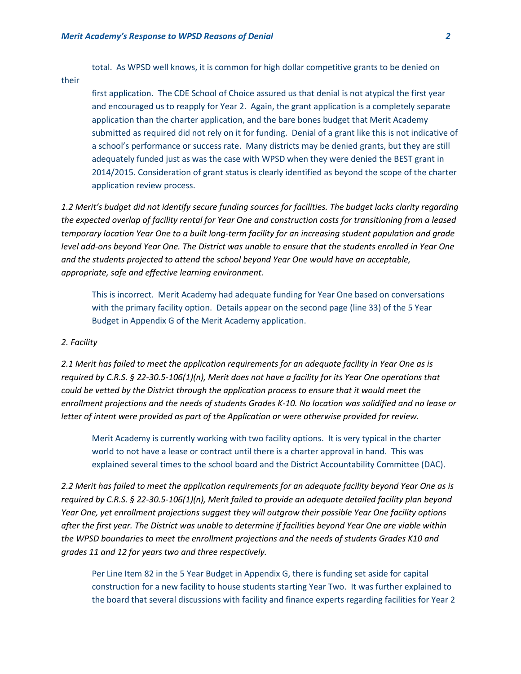total. As WPSD well knows, it is common for high dollar competitive grants to be denied on

their

first application. The CDE School of Choice assured us that denial is not atypical the first year and encouraged us to reapply for Year 2. Again, the grant application is a completely separate application than the charter application, and the bare bones budget that Merit Academy submitted as required did not rely on it for funding. Denial of a grant like this is not indicative of a school's performance or success rate. Many districts may be denied grants, but they are still adequately funded just as was the case with WPSD when they were denied the BEST grant in 2014/2015. Consideration of grant status is clearly identified as beyond the scope of the charter application review process.

*1.2 Merit's budget did not identify secure funding sources for facilities. The budget lacks clarity regarding the expected overlap of facility rental for Year One and construction costs for transitioning from a leased temporary location Year One to a built long-term facility for an increasing student population and grade level add-ons beyond Year One. The District was unable to ensure that the students enrolled in Year One and the students projected to attend the school beyond Year One would have an acceptable, appropriate, safe and effective learning environment.*

This is incorrect. Merit Academy had adequate funding for Year One based on conversations with the primary facility option. Details appear on the second page (line 33) of the 5 Year Budget in Appendix G of the Merit Academy application.

# *2. Facility*

*2.1 Merit has failed to meet the application requirements for an adequate facility in Year One as is required by C.R.S. § 22-30.5-106(1)(n), Merit does not have a facility for its Year One operations that could be vetted by the District through the application process to ensure that it would meet the enrollment projections and the needs of students Grades K-10. No location was solidified and no lease or letter of intent were provided as part of the Application or were otherwise provided for review.* 

Merit Academy is currently working with two facility options. It is very typical in the charter world to not have a lease or contract until there is a charter approval in hand. This was explained several times to the school board and the District Accountability Committee (DAC).

*2.2 Merit has failed to meet the application requirements for an adequate facility beyond Year One as is required by C.R.S. § 22-30.5-106(1)(n), Merit failed to provide an adequate detailed facility plan beyond Year One, yet enrollment projections suggest they will outgrow their possible Year One facility options after the first year. The District was unable to determine if facilities beyond Year One are viable within the WPSD boundaries to meet the enrollment projections and the needs of students Grades K10 and grades 11 and 12 for years two and three respectively.* 

Per Line Item 82 in the 5 Year Budget in Appendix G, there is funding set aside for capital construction for a new facility to house students starting Year Two. It was further explained to the board that several discussions with facility and finance experts regarding facilities for Year 2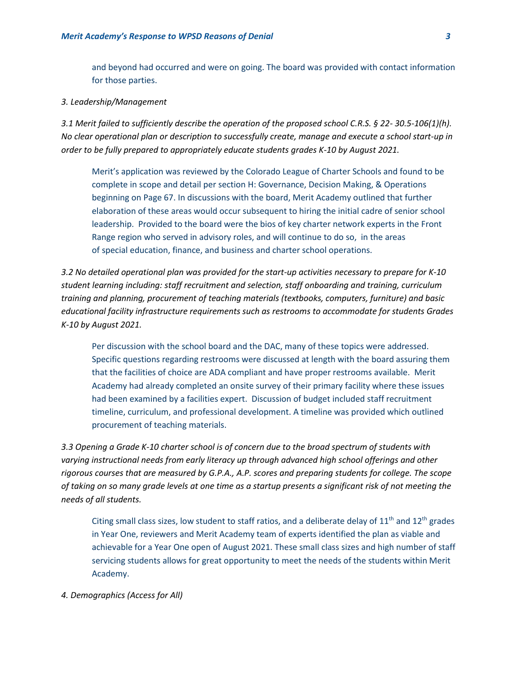and beyond had occurred and were on going. The board was provided with contact information for those parties.

#### *3. Leadership/Management*

*3.1 Merit failed to sufficiently describe the operation of the proposed school C.R.S. § 22- 30.5-106(1)(h). No clear operational plan or description to successfully create, manage and execute a school start-up in order to be fully prepared to appropriately educate students grades K-10 by August 2021.*

Merit's application was reviewed by the Colorado League of Charter Schools and found to be complete in scope and detail per section H: Governance, Decision Making, & Operations beginning on Page 67. In discussions with the board, Merit Academy outlined that further elaboration of these areas would occur subsequent to hiring the initial cadre of senior school leadership. Provided to the board were the bios of key charter network experts in the Front Range region who served in advisory roles, and will continue to do so, in the areas of special education, finance, and business and charter school operations.

*3.2 No detailed operational plan was provided for the start-up activities necessary to prepare for K-10 student learning including: staff recruitment and selection, staff onboarding and training, curriculum training and planning, procurement of teaching materials (textbooks, computers, furniture) and basic educational facility infrastructure requirements such as restrooms to accommodate for students Grades K-10 by August 2021.*

Per discussion with the school board and the DAC, many of these topics were addressed. Specific questions regarding restrooms were discussed at length with the board assuring them that the facilities of choice are ADA compliant and have proper restrooms available. Merit Academy had already completed an onsite survey of their primary facility where these issues had been examined by a facilities expert. Discussion of budget included staff recruitment timeline, curriculum, and professional development. A timeline was provided which outlined procurement of teaching materials.

*3.3 Opening a Grade K-10 charter school is of concern due to the broad spectrum of students with varying instructional needs from early literacy up through advanced high school offerings and other rigorous courses that are measured by G.P.A., A.P. scores and preparing students for college. The scope of taking on so many grade levels at one time as a startup presents a significant risk of not meeting the needs of all students.* 

Citing small class sizes, low student to staff ratios, and a deliberate delay of  $11<sup>th</sup>$  and  $12<sup>th</sup>$  grades in Year One, reviewers and Merit Academy team of experts identified the plan as viable and achievable for a Year One open of August 2021. These small class sizes and high number of staff servicing students allows for great opportunity to meet the needs of the students within Merit Academy.

# *4. Demographics (Access for All)*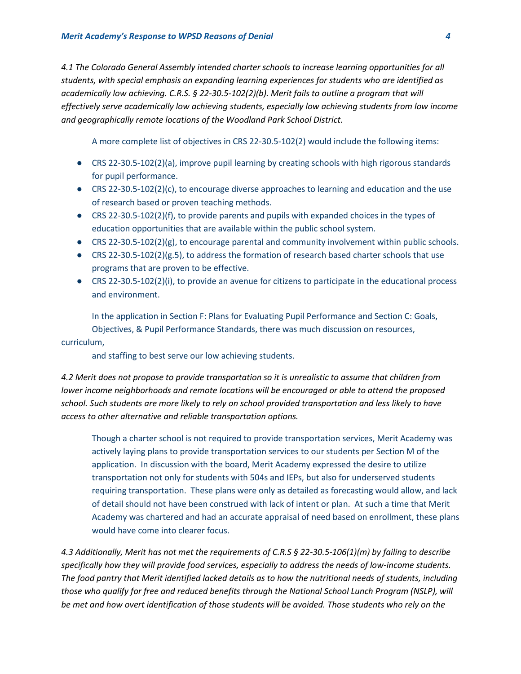*4.1 The Colorado General Assembly intended charter schools to increase learning opportunities for all students, with special emphasis on expanding learning experiences for students who are identified as academically low achieving. C.R.S. § 22-30.5-102(2)(b). Merit fails to outline a program that will effectively serve academically low achieving students, especially low achieving students from low income and geographically remote locations of the Woodland Park School District.*

A more complete list of objectives in CRS 22-30.5-102(2) would include the following items:

- CRS 22-30.5-102(2)(a), improve pupil learning by creating schools with high rigorous standards for pupil performance.
- $\bullet$  CRS 22-30.5-102(2)(c), to encourage diverse approaches to learning and education and the use of research based or proven teaching methods.
- CRS 22-30.5-102(2)(f), to provide parents and pupils with expanded choices in the types of education opportunities that are available within the public school system.
- CRS 22-30.5-102(2)(g), to encourage parental and community involvement within public schools.
- CRS 22-30.5-102(2)( $g.5$ ), to address the formation of research based charter schools that use programs that are proven to be effective.
- CRS 22-30.5-102(2)(i), to provide an avenue for citizens to participate in the educational process and environment.

In the application in Section F: Plans for Evaluating Pupil Performance and Section C: Goals, Objectives, & Pupil Performance Standards, there was much discussion on resources, curriculum,

and staffing to best serve our low achieving students.

*4.2 Merit does not propose to provide transportation so it is unrealistic to assume that children from lower income neighborhoods and remote locations will be encouraged or able to attend the proposed school. Such students are more likely to rely on school provided transportation and less likely to have access to other alternative and reliable transportation options.*

Though a charter school is not required to provide transportation services, Merit Academy was actively laying plans to provide transportation services to our students per Section M of the application. In discussion with the board, Merit Academy expressed the desire to utilize transportation not only for students with 504s and IEPs, but also for underserved students requiring transportation. These plans were only as detailed as forecasting would allow, and lack of detail should not have been construed with lack of intent or plan. At such a time that Merit Academy was chartered and had an accurate appraisal of need based on enrollment, these plans would have come into clearer focus.

*4.3 Additionally, Merit has not met the requirements of C.R.S § 22-30.5-106(1)(m) by failing to describe specifically how they will provide food services, especially to address the needs of low-income students. The food pantry that Merit identified lacked details as to how the nutritional needs of students, including those who qualify for free and reduced benefits through the National School Lunch Program (NSLP), will be met and how overt identification of those students will be avoided. Those students who rely on the*